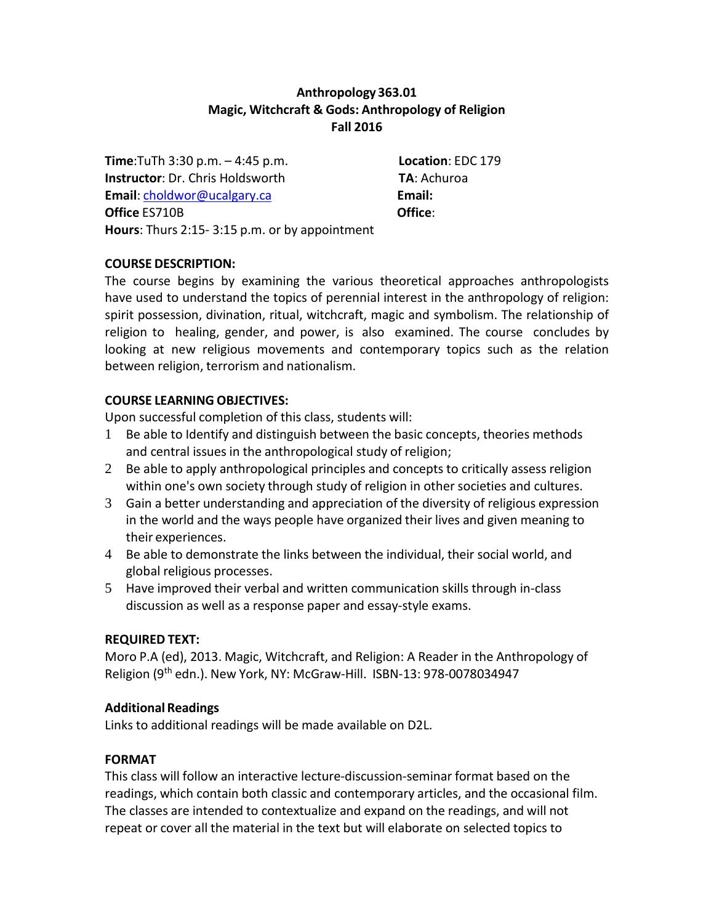# **Anthropology 363.01 Magic, Witchcraft & Gods: Anthropology of Religion Fall 2016**

**Time**:TuTh 3:30 p.m. – 4:45 p.m. **Location**: EDC 179 **Instructor**: Dr. Chris Holdsworth **TA**: Achuroa **Email**: [choldwor@ucalgary.ca](mailto:choldwor@ucalgary.ca) **Email: Office** ES710B **Office**: **Hours**: Thurs 2:15- 3:15 p.m. or by appointment

## **COURSE DESCRIPTION:**

The course begins by examining the various theoretical approaches anthropologists have used to understand the topics of perennial interest in the anthropology of religion: spirit possession, divination, ritual, witchcraft, magic and symbolism. The relationship of religion to healing, gender, and power, is also examined. The course concludes by looking at new religious movements and contemporary topics such as the relation between religion, terrorism and nationalism.

## **COURSE LEARNING OBJECTIVES:**

Upon successful completion of this class, students will:

- 1 Be able to Identify and distinguish between the basic concepts, theories methods and central issues in the anthropological study of religion;
- 2 Be able to apply anthropological principles and concepts to critically assess religion within one's own society through study of religion in other societies and cultures.
- 3 Gain a better understanding and appreciation of the diversity of religious expression in the world and the ways people have organized their lives and given meaning to their experiences.
- 4 Be able to demonstrate the links between the individual, their social world, and global religious processes.
- 5 Have improved their verbal and written communication skills through in-class discussion as well as a response paper and essay-style exams.

## **REQUIRED TEXT:**

Moro P.A (ed), 2013. Magic, Witchcraft, and Religion: A Reader in the Anthropology of Religion (9th edn.). New York, NY: McGraw-Hill. ISBN-13: 978-0078034947

# **Additional Readings**

Links to additional readings will be made available on D2L.

## **FORMAT**

This class will follow an interactive lecture-discussion-seminar format based on the readings, which contain both classic and contemporary articles, and the occasional film. The classes are intended to contextualize and expand on the readings, and will not repeat or cover all the material in the text but will elaborate on selected topics to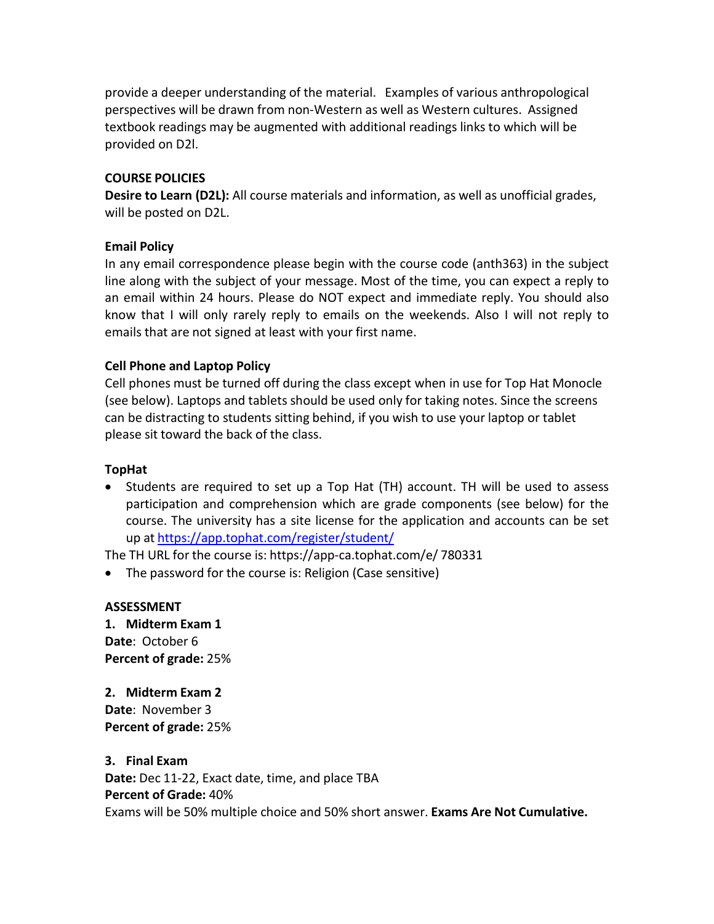provide a deeper understanding of the material. Examples of various anthropological perspectives will be drawn from non-Western as well as Western cultures. Assigned textbook readings may be augmented with additional readings links to which will be provided on D2l.

### **COURSE POLICIES**

**Desire to Learn (D2L):** All course materials and information, as well as unofficial grades, will be posted on D2L.

## **Email Policy**

In any email correspondence please begin with the course code (anth363) in the subject line along with the subject of your message. Most of the time, you can expect a reply to an email within 24 hours. Please do NOT expect and immediate reply. You should also know that I will only rarely reply to emails on the weekends. Also I will not reply to emails that are not signed at least with your first name.

### **Cell Phone and Laptop Policy**

Cell phones must be turned off during the class except when in use for Top Hat Monocle (see below). Laptops and tablets should be used only for taking notes. Since the screens can be distracting to students sitting behind, if you wish to use your laptop or tablet please sit toward the back of the class.

### **TopHat**

• Students are required to set up a Top Hat (TH) account. TH will be used to assess participation and comprehension which are grade components (see below) for the course. The university has a site license for the application and accounts can be set up at <https://app.tophat.com/register/student/>

The TH URL for the course is: https://app-ca.tophat.com/e/ 780331

• The password for the course is: Religion (Case sensitive)

#### **ASSESSMENT**

**1. Midterm Exam 1 Date**: October 6 **Percent of grade:** 25%

**2. Midterm Exam 2 Date**: November 3 **Percent of grade:** 25%

#### **3. Final Exam**

**Date:** Dec 11-22, Exact date, time, and place TBA **Percent of Grade:** 40% Exams will be 50% multiple choice and 50% short answer. **Exams Are Not Cumulative.**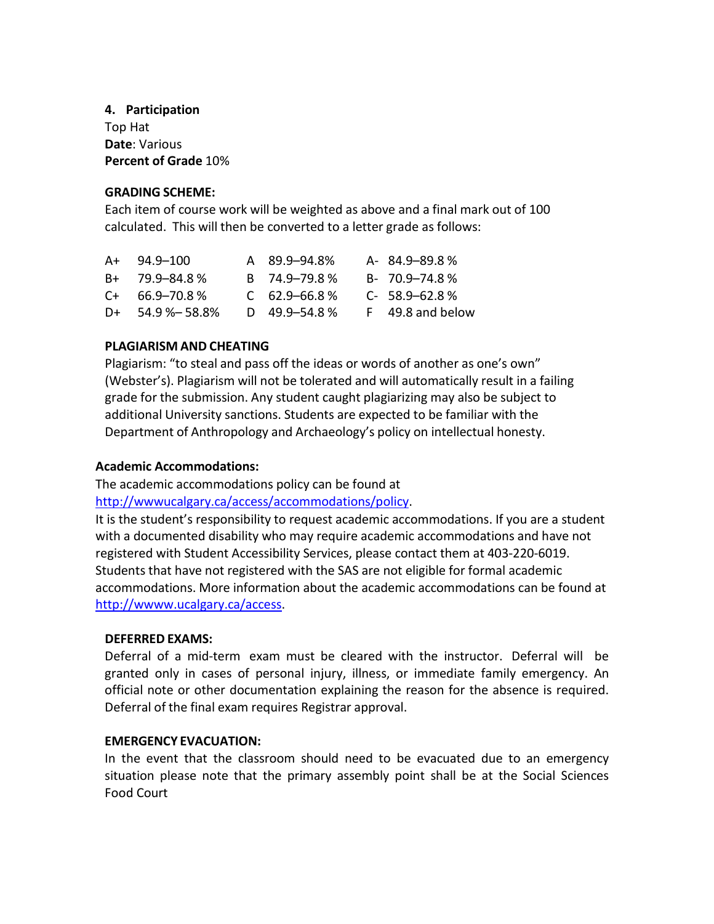## **4. Participation** Top Hat **Date**: Various **Percent of Grade** 10%

## **GRADING SCHEME:**

Each item of course work will be weighted as above and a final mark out of 100 calculated. This will then be converted to a letter grade as follows:

|    | $A+94.9-100$        | A 89.9-94.8%      | $A - 84.9 - 89.8%$ |
|----|---------------------|-------------------|--------------------|
|    | $B+$ 79.9-84.8%     | R 74.9-79.8%      | $B - 70.9 - 74.8%$ |
|    | $C_{+}$ 66.9-70.8 % | $C$ 62.9–66.8%    | $C - 58.9 - 62.8%$ |
| D+ | 54.9 %– 58.8%       | D $49.9 - 54.8$ % | F 49.8 and below   |

## **PLAGIARISM AND CHEATING**

Plagiarism: "to steal and pass off the ideas or words of another as one's own" (Webster's). Plagiarism will not be tolerated and will automatically result in a failing grade for the submission. Any student caught plagiarizing may also be subject to additional University sanctions. Students are expected to be familiar with the Department of Anthropology and Archaeology's policy on intellectual honesty.

## **Academic Accommodations:**

The academic accommodations policy can be found at [http://wwwucalgary.ca/access/accommodations/policy.](http://wwwucalgary.ca/access/accommodations/policy)

It is the student's responsibility to request academic accommodations. If you are a student with a documented disability who may require academic accommodations and have not registered with Student Accessibility Services, please contact them at 403-220-6019. Students that have not registered with the SAS are not eligible for formal academic accommodations. More information about the academic accommodations can be found at [http://wwww.ucalgary.ca/access.](http://wwww.ucalgary.ca/access)

## **DEFERRED EXAMS:**

Deferral of a mid-term exam must be cleared with the instructor. Deferral will be granted only in cases of personal injury, illness, or immediate family emergency. An official note or other documentation explaining the reason for the absence is required. Deferral of the final exam requires Registrar approval.

## **EMERGENCY EVACUATION:**

In the event that the classroom should need to be evacuated due to an emergency situation please note that the primary assembly point shall be at the Social Sciences Food Court